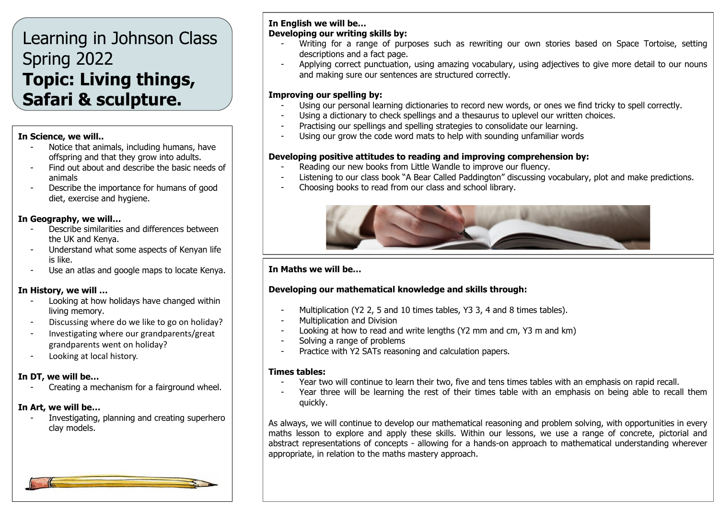# Learning in Johnson Class Spring 2022 **Topic: Living things, Safari & sculpture.**

#### **In Science, we will..**

- Notice that animals, including humans, have offspring and that they grow into adults.
- Find out about and describe the basic needs of animals
- Describe the importance for humans of good diet, exercise and hygiene.

### **In Geography, we will…**

- Describe similarities and differences between the UK and Kenya.
- Understand what some aspects of Kenyan life is like.
- Use an atlas and google maps to locate Kenya.

## **In History, we will …**

- Looking at how holidays have changed within living memory.
- Discussing where do we like to go on holiday?
- Investigating where our grandparents/great grandparents went on holiday?
- Looking at local history.

## **In DT, we will be…**

Creating a mechanism for a fairground wheel.

# **In Art, we will be…**

- Investigating, planning and creating superhero clay models.

# **In English we will be… Developing our writing skills by:**

- Writing for a range of purposes such as rewriting our own stories based on Space Tortoise, setting descriptions and a fact page.
- Applying correct punctuation, using amazing vocabulary, using adjectives to give more detail to our nouns and making sure our sentences are structured correctly.

# **Improving our spelling by:**

- Using our personal learning dictionaries to record new words, or ones we find tricky to spell correctly.
	- Using a dictionary to check spellings and a thesaurus to uplevel our written choices.
- Practising our spellings and spelling strategies to consolidate our learning.
- Using our grow the code word mats to help with sounding unfamiliar words

# **Developing positive attitudes to reading and improving comprehension by:**

- Reading our new books from Little Wandle to improve our fluency.
- Listening to our class book "A Bear Called Paddington" discussing vocabulary, plot and make predictions.
- Choosing books to read from our class and school library.



# **In Maths we will be…**

# **Developing our mathematical knowledge and skills through:**

- Multiplication (Y2 2, 5 and 10 times tables, Y3 3, 4 and 8 times tables).
- Multiplication and Division
- Looking at how to read and write lengths (Y2 mm and cm, Y3 m and km)
- Solving a range of problems
- Practice with Y2 SATs reasoning and calculation papers.

# **Times tables:**

- Year two will continue to learn their two, five and tens times tables with an emphasis on rapid recall.
- Year three will be learning the rest of their times table with an emphasis on being able to recall them quickly.

As always, we will continue to develop our mathematical reasoning and problem solving, with opportunities in every maths lesson to explore and apply these skills. Within our lessons, we use a range of concrete, pictorial and abstract representations of concepts - allowing for a hands-on approach to mathematical understanding wherever appropriate, in relation to the maths mastery approach.